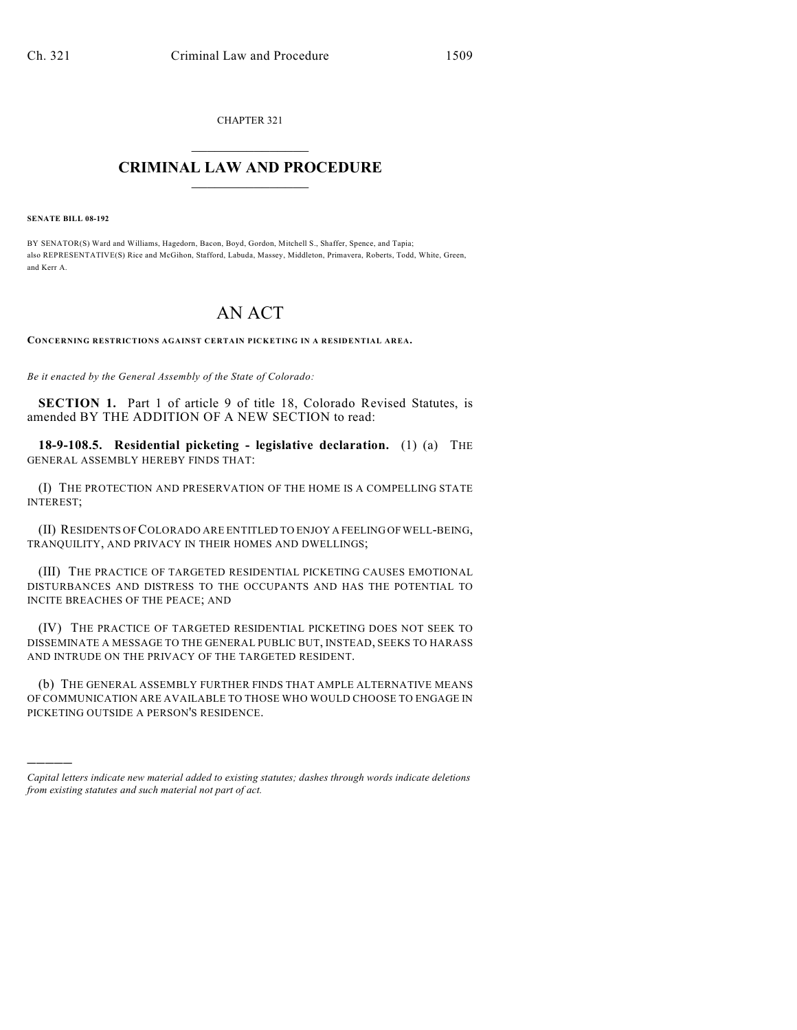CHAPTER 321  $\mathcal{L}_\text{max}$  . The set of the set of the set of the set of the set of the set of the set of the set of the set of the set of the set of the set of the set of the set of the set of the set of the set of the set of the set

## **CRIMINAL LAW AND PROCEDURE**  $\frac{1}{2}$  ,  $\frac{1}{2}$  ,  $\frac{1}{2}$  ,  $\frac{1}{2}$  ,  $\frac{1}{2}$  ,  $\frac{1}{2}$  ,  $\frac{1}{2}$

**SENATE BILL 08-192**

)))))

BY SENATOR(S) Ward and Williams, Hagedorn, Bacon, Boyd, Gordon, Mitchell S., Shaffer, Spence, and Tapia; also REPRESENTATIVE(S) Rice and McGihon, Stafford, Labuda, Massey, Middleton, Primavera, Roberts, Todd, White, Green, and Kerr A.

## AN ACT

**CONCERNING RESTRICTIONS AGAINST CERTAIN PICKETING IN A RESIDENTIAL AREA.**

*Be it enacted by the General Assembly of the State of Colorado:*

**SECTION 1.** Part 1 of article 9 of title 18, Colorado Revised Statutes, is amended BY THE ADDITION OF A NEW SECTION to read:

**18-9-108.5. Residential picketing - legislative declaration.** (1) (a) THE GENERAL ASSEMBLY HEREBY FINDS THAT:

(I) THE PROTECTION AND PRESERVATION OF THE HOME IS A COMPELLING STATE INTEREST;

(II) RESIDENTS OF COLORADO ARE ENTITLED TO ENJOY A FEELING OF WELL-BEING, TRANQUILITY, AND PRIVACY IN THEIR HOMES AND DWELLINGS;

(III) THE PRACTICE OF TARGETED RESIDENTIAL PICKETING CAUSES EMOTIONAL DISTURBANCES AND DISTRESS TO THE OCCUPANTS AND HAS THE POTENTIAL TO INCITE BREACHES OF THE PEACE; AND

(IV) THE PRACTICE OF TARGETED RESIDENTIAL PICKETING DOES NOT SEEK TO DISSEMINATE A MESSAGE TO THE GENERAL PUBLIC BUT, INSTEAD, SEEKS TO HARASS AND INTRUDE ON THE PRIVACY OF THE TARGETED RESIDENT.

(b) THE GENERAL ASSEMBLY FURTHER FINDS THAT AMPLE ALTERNATIVE MEANS OF COMMUNICATION ARE AVAILABLE TO THOSE WHO WOULD CHOOSE TO ENGAGE IN PICKETING OUTSIDE A PERSON'S RESIDENCE.

*Capital letters indicate new material added to existing statutes; dashes through words indicate deletions from existing statutes and such material not part of act.*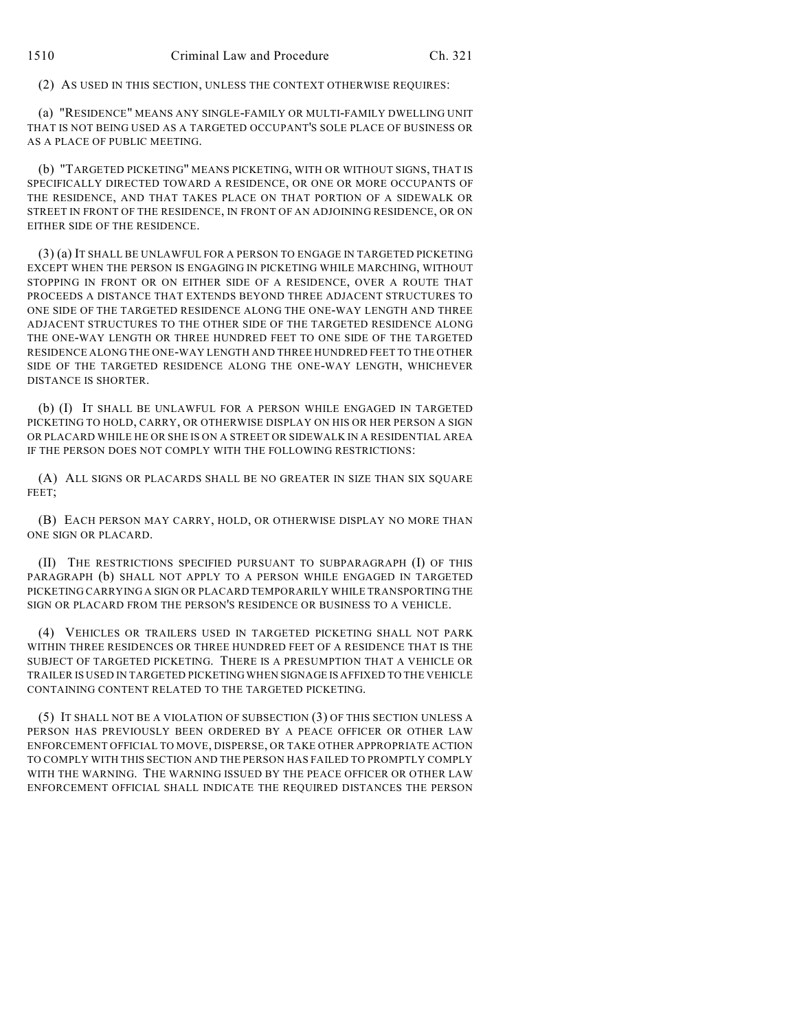(2) AS USED IN THIS SECTION, UNLESS THE CONTEXT OTHERWISE REQUIRES:

(a) "RESIDENCE" MEANS ANY SINGLE-FAMILY OR MULTI-FAMILY DWELLING UNIT THAT IS NOT BEING USED AS A TARGETED OCCUPANT'S SOLE PLACE OF BUSINESS OR AS A PLACE OF PUBLIC MEETING.

(b) "TARGETED PICKETING" MEANS PICKETING, WITH OR WITHOUT SIGNS, THAT IS SPECIFICALLY DIRECTED TOWARD A RESIDENCE, OR ONE OR MORE OCCUPANTS OF THE RESIDENCE, AND THAT TAKES PLACE ON THAT PORTION OF A SIDEWALK OR STREET IN FRONT OF THE RESIDENCE, IN FRONT OF AN ADJOINING RESIDENCE, OR ON EITHER SIDE OF THE RESIDENCE.

(3) (a) IT SHALL BE UNLAWFUL FOR A PERSON TO ENGAGE IN TARGETED PICKETING EXCEPT WHEN THE PERSON IS ENGAGING IN PICKETING WHILE MARCHING, WITHOUT STOPPING IN FRONT OR ON EITHER SIDE OF A RESIDENCE, OVER A ROUTE THAT PROCEEDS A DISTANCE THAT EXTENDS BEYOND THREE ADJACENT STRUCTURES TO ONE SIDE OF THE TARGETED RESIDENCE ALONG THE ONE-WAY LENGTH AND THREE ADJACENT STRUCTURES TO THE OTHER SIDE OF THE TARGETED RESIDENCE ALONG THE ONE-WAY LENGTH OR THREE HUNDRED FEET TO ONE SIDE OF THE TARGETED RESIDENCE ALONG THE ONE-WAY LENGTH AND THREE HUNDRED FEET TO THE OTHER SIDE OF THE TARGETED RESIDENCE ALONG THE ONE-WAY LENGTH, WHICHEVER DISTANCE IS SHORTER.

(b) (I) IT SHALL BE UNLAWFUL FOR A PERSON WHILE ENGAGED IN TARGETED PICKETING TO HOLD, CARRY, OR OTHERWISE DISPLAY ON HIS OR HER PERSON A SIGN OR PLACARD WHILE HE OR SHE IS ON A STREET OR SIDEWALK IN A RESIDENTIAL AREA IF THE PERSON DOES NOT COMPLY WITH THE FOLLOWING RESTRICTIONS:

(A) ALL SIGNS OR PLACARDS SHALL BE NO GREATER IN SIZE THAN SIX SQUARE FEET;

(B) EACH PERSON MAY CARRY, HOLD, OR OTHERWISE DISPLAY NO MORE THAN ONE SIGN OR PLACARD.

(II) THE RESTRICTIONS SPECIFIED PURSUANT TO SUBPARAGRAPH (I) OF THIS PARAGRAPH (b) SHALL NOT APPLY TO A PERSON WHILE ENGAGED IN TARGETED PICKETING CARRYING A SIGN OR PLACARD TEMPORARILY WHILE TRANSPORTING THE SIGN OR PLACARD FROM THE PERSON'S RESIDENCE OR BUSINESS TO A VEHICLE.

(4) VEHICLES OR TRAILERS USED IN TARGETED PICKETING SHALL NOT PARK WITHIN THREE RESIDENCES OR THREE HUNDRED FEET OF A RESIDENCE THAT IS THE SUBJECT OF TARGETED PICKETING. THERE IS A PRESUMPTION THAT A VEHICLE OR TRAILER IS USED IN TARGETED PICKETING WHEN SIGNAGE IS AFFIXED TO THE VEHICLE CONTAINING CONTENT RELATED TO THE TARGETED PICKETING.

(5) IT SHALL NOT BE A VIOLATION OF SUBSECTION (3) OF THIS SECTION UNLESS A PERSON HAS PREVIOUSLY BEEN ORDERED BY A PEACE OFFICER OR OTHER LAW ENFORCEMENT OFFICIAL TO MOVE, DISPERSE, OR TAKE OTHER APPROPRIATE ACTION TO COMPLY WITH THIS SECTION AND THE PERSON HAS FAILED TO PROMPTLY COMPLY WITH THE WARNING. THE WARNING ISSUED BY THE PEACE OFFICER OR OTHER LAW ENFORCEMENT OFFICIAL SHALL INDICATE THE REQUIRED DISTANCES THE PERSON